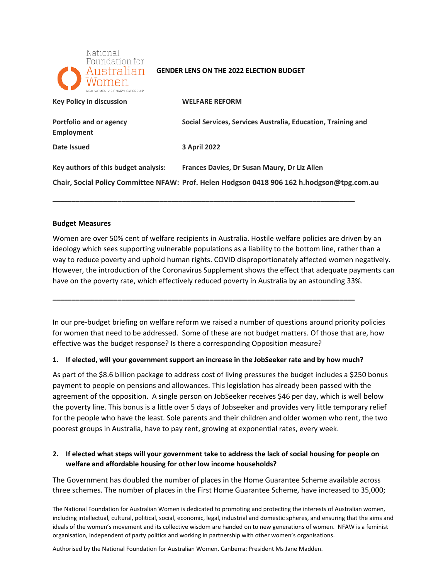

#### **GENDER LENS ON THE 2022 ELECTION BUDGET**

| REAL WOMEN VISIONARY LEADERSHIP       |                                                                                            |
|---------------------------------------|--------------------------------------------------------------------------------------------|
| <b>Key Policy in discussion</b>       | <b>WELFARE REFORM</b>                                                                      |
| Portfolio and or agency<br>Employment | Social Services, Services Australia, Education, Training and                               |
| Date Issued                           | <b>3 April 2022</b>                                                                        |
| Key authors of this budget analysis:  | Frances Davies, Dr Susan Maury, Dr Liz Allen                                               |
|                                       | Chair, Social Policy Committee NFAW: Prof. Helen Hodgson 0418 906 162 h.hodgson@tpg.com.au |

**\_\_\_\_\_\_\_\_\_\_\_\_\_\_\_\_\_\_\_\_\_\_\_\_\_\_\_\_\_\_\_\_\_\_\_\_\_\_\_\_\_\_\_\_\_\_\_\_\_\_\_\_\_\_\_\_\_\_\_\_\_\_\_\_\_\_\_\_\_\_\_\_\_\_\_\_\_\_\_** 

#### **Budget Measures**

 Women are over 50% cent of welfare recipients in Australia. Hostile welfare policies are driven by an ideology which sees supporting vulnerable populations as a liability to the bottom line, rather than a way to reduce poverty and uphold human rights. COVID disproportionately affected women negatively. However, the introduction of the Coronavirus Supplement shows the effect that adequate payments can have on the poverty rate, which effectively reduced poverty in Australia by an astounding 33%.

 In our pre-budget briefing on welfare reform we raised a number of questions around priority policies for women that need to be addressed. Some of these are not budget matters. Of those that are, how effective was the budget response? Is there a corresponding Opposition measure?

#### **1. If elected, will your government support an increase in the JobSeeker rate and by how much?**

**\_\_\_\_\_\_\_\_\_\_\_\_\_\_\_\_\_\_\_\_\_\_\_\_\_\_\_\_\_\_\_\_\_\_\_\_\_\_\_\_\_\_\_\_\_\_\_\_\_\_\_\_\_\_\_\_\_\_\_\_\_\_\_\_\_\_\_\_\_\_\_\_\_\_\_\_\_\_\_** 

 payment to people on pensions and allowances. This legislation has already been passed with the agreement of the opposition. A single person on JobSeeker receives \$46 per day, which is well below poorest groups in Australia, have to pay rent, growing at exponential rates, every week. As part of the \$8.6 billion package to address cost of living pressures the budget includes a \$250 bonus the poverty line. This bonus is a little over 5 days of Jobseeker and provides very little temporary relief for the people who have the least. Sole parents and their children and older women who rent, the two

# **2. If elected what steps will your government take to address the lack of social housing for people on welfare and affordable housing for other low income households?**

The Government has doubled the number of places in the Home Guarantee Scheme available across three schemes. The number of places in the First Home Guarantee Scheme, have increased to 35,000;

Authorised by the National Foundation for Australian Women, Canberra: President Ms Jane Madden.

The National Foundation for Australian Women is dedicated to promoting and protecting the interests of Australian women, including intellectual, cultural, political, social, economic, legal, industrial and domestic spheres, and ensuring that the aims and ideals of the women's movement and its collective wisdom are handed on to new generations of women. NFAW is a feminist organisation, independent of party politics and working in partnership with other women's organisations.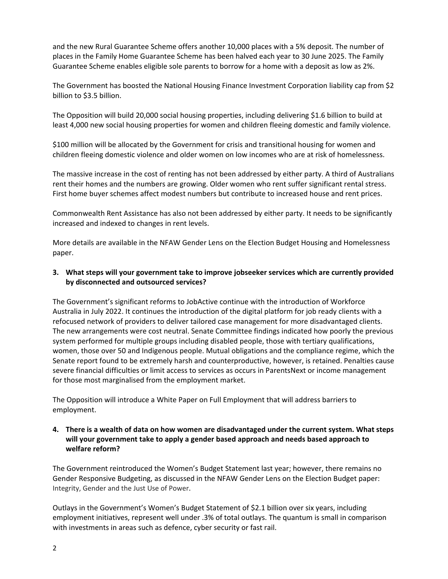Guarantee Scheme enables eligible sole parents to borrow for a home with a deposit as low as 2%. and the new Rural Guarantee Scheme offers another 10,000 places with a 5% deposit. The number of places in the Family Home Guarantee Scheme has been halved each year to 30 June 2025. The Family

The Government has boosted the National Housing Finance Investment Corporation liability cap from \$2 billion to \$3.5 billion.

The Opposition will build 20,000 social housing properties, including delivering \$1.6 billion to build at least 4,000 new social housing properties for women and children fleeing domestic and family violence.

 children fleeing domestic violence and older women on low incomes who are at risk of homelessness. \$100 million will be allocated by the Government for crisis and transitional housing for women and

 The massive increase in the cost of renting has not been addressed by either party. A third of Australians rent their homes and the numbers are growing. Older women who rent suffer significant rental stress. First home buyer schemes affect modest numbers but contribute to increased house and rent prices.

 Commonwealth Rent Assistance has also not been addressed by either party. It needs to be significantly increased and indexed to changes in rent levels.

More details are available in the NFAW Gender Lens on the Election Budget Housing and Homelessness paper.

# **3. What steps will your government take to improve jobseeker services which are currently provided by disconnected and outsourced services?**

 The Government's significant reforms to JobActive continue with the introduction of Workforce refocused network of providers to deliver tailored case management for more disadvantaged clients. for those most marginalised from the employment market. Australia in July 2022. It continues the introduction of the digital platform for job ready clients with a The new arrangements were cost neutral. Senate Committee findings indicated how poorly the previous system performed for multiple groups including disabled people, those with tertiary qualifications, women, those over 50 and Indigenous people. Mutual obligations and the compliance regime, which the Senate report found to be extremely harsh and counterproductive, however, is retained. Penalties cause severe financial difficulties or limit access to services as occurs in ParentsNext or income management

The Opposition will introduce a White Paper on Full Employment that will address barriers to employment.

# **4. There is a wealth of data on how women are disadvantaged under the current system. What steps will your government take to apply a gender based approach and needs based approach to welfare reform?**

 Gender Responsive Budgeting, as discussed in the NFAW Gender Lens on the Election Budget paper: Integrity, Gender and the Just Use of Power. The Government reintroduced the Women's Budget Statement last year; however, there remains no

Outlays in the Government's Women's Budget Statement of \$2.1 billion over six years, including employment initiatives, represent well under .3% of total outlays. The quantum is small in comparison with investments in areas such as defence, cyber security or fast rail.